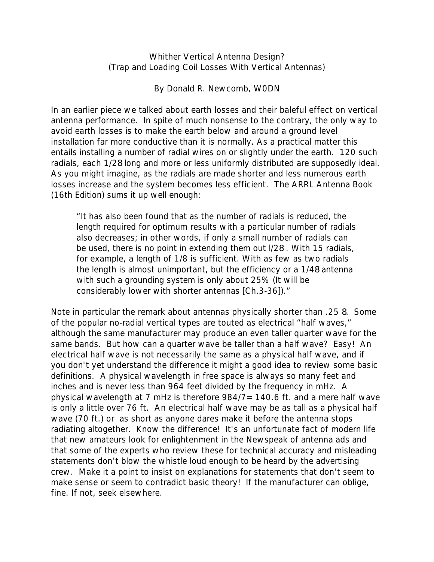Whither Vertical Antenna Design? (Trap and Loading Coil Losses With Vertical Antennas)

By Donald R. Newcomb, W0DN

In an earlier piece we talked about earth losses and their baleful effect on vertical antenna performance. In spite of much nonsense to the contrary, the only way to avoid earth losses is to make the earth below and around a ground level installation far more conductive than it is normally. As a practical matter this entails installing a number of radial wires on or slightly under the earth. 120 such radials, each 1/28 long and more or less uniformly distributed are supposedly ideal. As you might imagine, as the radials are made shorter and less numerous earth losses increase and the system becomes less efficient. The ARRL Antenna Book (16th Edition) sums it up well enough:

"It has also been found that as the number of radials is reduced, the *length* required for optimum results with a particular *number* of radials also decreases; in other words, if only a small number of radials can be used, there is no point in extending them out l/28 . With 15 radials, for example, a length of 1/8 is sufficient. With as few as two radials the length is almost unimportant, but the efficiency or a 1/48 antenna with such a grounding system is only about 25% (It will be considerably lower with shorter antennas [Ch.3-36])."

Note in particular the remark about antennas physically shorter than .25 8. Some of the popular no-radial vertical types are touted as electrical "half waves," although the same manufacturer may produce an even taller quarter wave for the same bands. But how can a quarter wave be taller than a half wave? Easy! An *electrical* half wave is *not* necessarily the same as a physical half wave, and if you don't yet understand the difference it might a good idea to review some basic definitions. A *physical* wavelength in free space is always so many feet and inches and is never less than 964 feet divided by the frequency in mHz. A physical wavelength at 7 mHz is therefore 984/7=140.6 ft. and a mere half wave is only a little over 76 ft. An *electrical* half wave may be as tall as a *physical* half wave (70 ft.) or as short as anyone dares make it before the antenna stops radiating altogether. Know the difference! It's an unfortunate fact of modern life that new amateurs look for enlightenment in the Newspeak of antenna ads and that some of the experts who review these for technical accuracy and misleading statements don't blow the whistle loud enough to be heard by the advertising crew. Make it a point to insist on explanations for statements that don't seem to make sense or seem to contradict basic theory! If the manufacturer can oblige, fine. If not, seek elsewhere.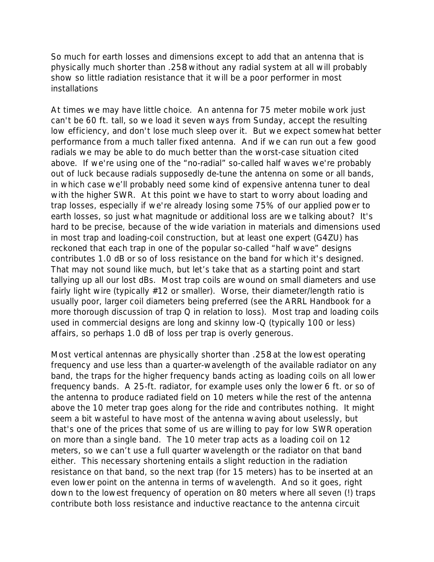So much for earth losses and dimensions except to add that an antenna that is *physically* much shorter than .258 without any radial system at all will probably show so little radiation resistance that it will be a poor performer in most **installations** 

At times we may have little choice. An antenna for 75 meter mobile work just can't be 60 ft. tall, so we load it seven ways from Sunday, accept the resulting low efficiency, and don't lose much sleep over it. But we expect somewhat better performance from a much taller fixed antenna. And if we can run out a few good radials we may be able to do much better than the worst-case situation cited above. If we're using one of the "no-radial" so-called half waves we're probably out of luck because radials supposedly de-tune the antenna on some or all bands, in which case we'll probably need some kind of expensive antenna tuner to deal with the higher SWR. At this point we have to start to worry about loading and trap losses, especially if we're already losing some 75% of our applied power to earth losses, so just what magnitude or additional loss are we talking about? It's hard to be precise, because of the wide variation in materials and dimensions used in most trap and loading-coil construction, but at least one expert (G4ZU) has reckoned that each trap in one of the popular so-called "half wave" designs contributes 1.0 dB or so of loss resistance on the band for which it's designed. That may not sound like much, but let's take that as a starting point and start tallying up all our lost dBs. Most trap coils are wound on small diameters and use fairly light wire (typically #12 or smaller). Worse, their diameter/length ratio is usually poor, larger coil diameters being preferred (see the ARRL Handbook for a more thorough discussion of trap Q in relation to loss). Most trap and loading coils used in commercial designs are long and skinny low-Q (typically 100 or less) affairs, so perhaps 1.0 dB of loss per trap is overly generous.

Most vertical antennas are physically shorter than .258 at the lowest operating frequency and use less than a quarter-wavelength of the available radiator on any band, the traps for the higher frequency bands acting as loading coils on all lower frequency bands. A 25-ft. radiator, for example uses only the lower 6 ft. or so of the antenna to produce radiated field on 10 meters while the rest of the antenna above the 10 meter trap goes along for the ride and contributes nothing. It might seem a bit wasteful to have most of the antenna waving about uselessly, but that's one of the prices that some of us are willing to pay for low SWR operation on more than a single band. The 10 meter trap acts as a loading coil on 12 meters, so we can't use a full quarter wavelength or the radiator on that band either. This necessary shortening entails a slight reduction in the radiation resistance on that band, so the next trap (for 15 meters) has to be inserted at an even lower point on the antenna in terms of wavelength. And so it goes, right down to the lowest frequency of operation on 80 meters where all seven (!) traps contribute both loss resistance and inductive reactance to the antenna circuit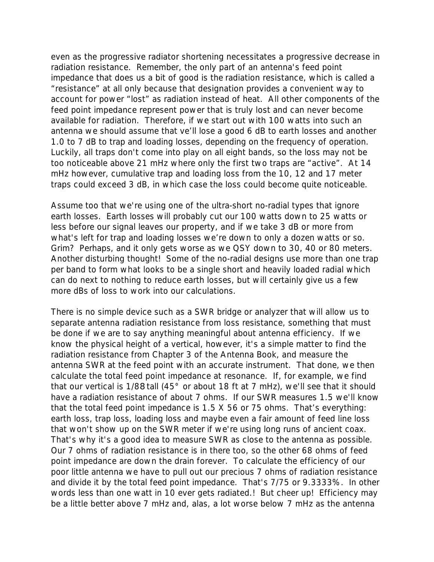even as the progressive radiator shortening necessitates a progressive decrease in radiation resistance. Remember, the only part of an antenna's feed point impedance that does us a bit of good is the *radiation resistance*, which is called a "resistance" at all only because that designation provides a convenient way to account for power "lost" as radiation instead of heat. All other components of the feed point impedance represent power that is truly lost and can never become available for radiation. Therefore, if we start out with 100 watts into such an antenna we should assume that ve'll lose a good 6 dB to earth losses and another 1.0 to 7 dB to trap and loading losses, depending on the frequency of operation. Luckily, all traps don't come into play on all eight bands, so the loss may not be too noticeable above 21 mHz where only the first two traps are "active". At 14 mHz however, cumulative trap and loading loss from the 10, 12 and 17 meter traps could exceed 3 dB, in which case the loss could become quite noticeable.

Assume too that we're using one of the ultra-short no-radial types that ignore earth losses. Earth losses will probably cut our 100 watts down to 25 watts or less before our signal leaves our property, and if we take 3 dB or more from what's left for trap and loading losses we're down to only a dozen watts or so. Grim? Perhaps, and it only gets worse as we QSY down to 30, 40 or 80 meters. Another disturbing thought! Some of the no-radial designs use more than one trap per band to form what looks to be a single short and heavily loaded radial which can do next to nothing to reduce earth losses, but will certainly give us a few more dBs of loss to work into our calculations.

There is no simple device such as a SWR bridge or analyzer that will allow us to separate antenna radiation resistance from loss resistance, something that must be done if we are to say anything meaningful about antenna efficiency. If we know the physical height of a vertical, however, it's a simple matter to find the radiation resistance from Chapter 3 of the Antenna Book, and measure the antenna SWR at the feed point with an accurate instrument. That done, we then calculate the total feed point impedance at resonance. If, for example, we find that our vertical is 1/88 tall (45° or about 18 ft at 7 mHz), we'll see that it should have a radiation resistance of about 7 ohms. If our SWR measures 1.5 we'll know that the total feed point impedance is 1.5 X 56 or 75 ohms. That's everything: earth loss, trap loss, loading loss and maybe even a fair amount of feed line loss that won't show up on the SWR meter if we're using long runs of ancient coax. That's why it's a good idea to measure SWR as close to the antenna as possible. Our 7 ohms of radiation resistance is in there too, so the other 68 ohms of feed point impedance are down the drain forever. To calculate the efficiency of our poor little antenna we have to pull out our precious 7 ohms of radiation resistance and divide it by the total feed point impedance. That's 7/75 or 9.3333%. In other words less than one watt in 10 ever gets radiated.! But cheer up! Efficiency may be a little better above 7 mHz and, alas, a lot worse below 7 mHz as the antenna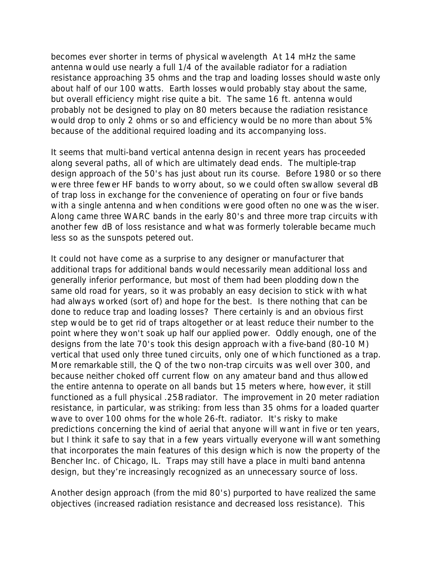becomes ever shorter in terms of physical wavelength At 14 mHz the same antenna would use nearly a full 1/4 of the available radiator for a radiation resistance approaching 35 ohms and the trap and loading losses should waste only about half of our 100 watts. Earth losses would probably stay about the same, but overall efficiency might rise quite a bit. The same 16 ft. antenna would probably not be designed to play on 80 meters because the radiation resistance would drop to only 2 ohms or so and efficiency would be no more than about 5% because of the additional required loading and its accompanying loss.

It seems that multi-band vertical antenna design in recent years has proceeded along several paths, all of which are ultimately dead ends. The multiple-trap design approach of the 50's has just about run its course. Before 1980 or so there were three fewer HF bands to worry about, so we could often swallow several dB of trap loss in exchange for the convenience of operating on four or five bands with a single antenna and when conditions were good often no one was the wiser. Along came three WARC bands in the early 80's and three more trap circuits with another few dB of loss resistance and what was formerly tolerable became much less so as the sunspots petered out.

It could not have come as a surprise to any designer or manufacturer that additional traps for additional bands would necessarily mean additional loss and generally inferior performance, but most of them had been plodding down the same old road for years, so it was probably an easy decision to stick with what had always worked (sort of) and hope for the best. Is there nothing that can be done to reduce trap and loading losses? There certainly is and an obvious first step would be to get rid of traps altogether or at least reduce their number to the point where they won't soak up half our applied power. Oddly enough, one of the designs from the late 70's took this design approach with a five-band (80-10 M) vertical that used only three tuned circuits, only one of which functioned as a trap. More remarkable still, the Q of the two non-trap circuits was well over 300, and because neither choked off current flow on any amateur band and thus allowed the entire antenna to operate on all bands but 15 meters where, however, it still functioned as a full physical .258 radiator. The improvement in 20 meter radiation resistance, in particular, was striking: from less than 35 ohms for a loaded quarter wave to over 100 ohms for the whole 26-ft. radiator. It's risky to make predictions concerning the kind of aerial that anyone will want in five or ten years, but I think it safe to say that in a few years virtually everyone will want something that incorporates the main features of this design which is now the property of the Bencher Inc. of Chicago, IL. Traps may still have a place in multi band antenna design, but they're increasingly recognized as an unnecessary source of loss.

Another design approach (from the mid 80's) purported to have realized the same objectives (increased radiation resistance and decreased loss resistance). This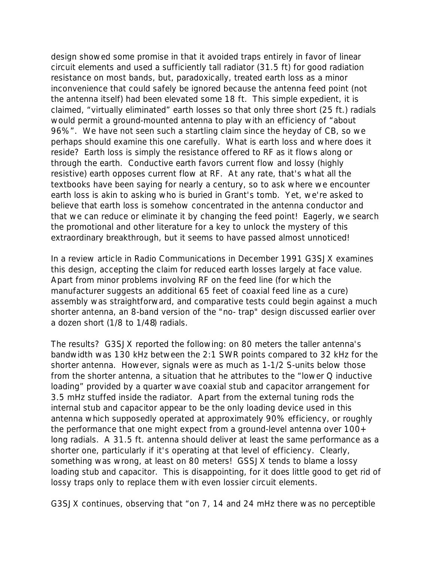design showed some promise in that it avoided traps entirely in favor of linear circuit elements and used a sufficiently tall radiator (31.5 ft) for good radiation resistance on most bands, but, paradoxically, treated earth loss as a minor inconvenience that could safely be ignored because the antenna feed point (not the antenna itself) had been elevated some 18 ft. This simple expedient, it is claimed, "virtually eliminated" earth losses so that only three short (25 ft.) radials would permit a ground-mounted antenna to play with an efficiency of "about 96%". We have not seen such a startling claim since the heyday of CB, so we perhaps should examine this one carefully. What is earth loss and where does it reside? Earth loss is simply the resistance offered to RF as it flows along or through the earth. Conductive earth favors current flow and lossy (highly resistive) earth opposes current flow at RF. At any rate, that's what all the textbooks have been saying for nearly a century, so to ask where we encounter earth loss is akin to asking who is buried in Grant's tomb. Yet, we're asked to believe that earth loss is somehow concentrated in the antenna conductor and that we can reduce or eliminate it by changing the feed point! Eagerly, we search the promotional and other literature for a key to unlock the mystery of this extraordinary breakthrough, but it seems to have passed almost unnoticed!

In a review article in Radio Communications in December 1991 G3SJX examines this design, accepting the claim for reduced earth losses largely at face value. Apart from minor problems involving RF on the feed line (for which the manufacturer suggests an additional 65 feet of coaxial feed line as a cure) assembly was straightforward, and comparative tests could begin against a much shorter antenna, an 8-band version of the "no- trap" design discussed earlier over a dozen short (1/8 to 1/48) radials.

The results? G3SJX reported the following: on 80 meters the taller antenna's bandwidth was 130 kHz between the 2:1 SWR points compared to 32 kHz for the shorter antenna. However, signals were as much as 1-1/2 S-units below those from the shorter antenna, a situation that he attributes to the "lower Q inductive loading" provided by a quarter wave coaxial stub and capacitor arrangement for 3.5 mHz stuffed inside the radiator. Apart from the external tuning rods the internal stub and capacitor appear to be the only loading device used in this antenna which supposedly operated at approximately 90% efficiency, or roughly the performance that one might expect from a ground-level antenna over  $100+$ long radials. A 31.5 ft. antenna should deliver at least the same performance as a shorter one, particularly if it's operating at that level of efficiency. Clearly, something was wrong, at least on 80 meters! GSSJX tends to blame a lossy loading stub and capacitor. This is disappointing, for it does little good to get rid of lossy traps only to replace them with even lossier circuit elements.

G3SJX continues, observing that "on 7, 14 and 24 mHz there was no perceptible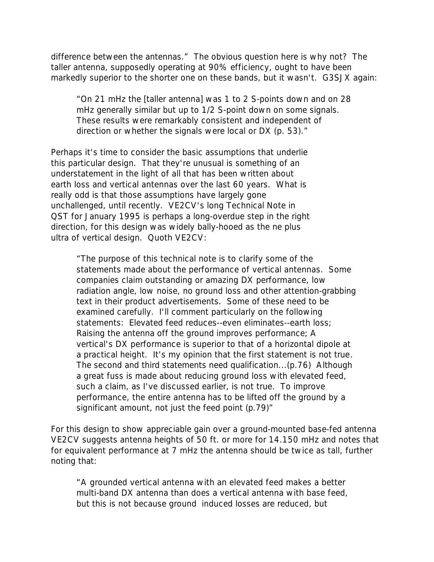difference between the antennas." The obvious question here is why not? The taller antenna, supposedly operating at 90% efficiency, ought to have been markedly superior to the shorter one on these bands, but it wasn't. G3SJX again:

"On 21 mHz the [taller antenna] was 1 to 2 S-points down and on 28 mHz generally similar but up to 1/2 S-point down on some signals. These results were remarkably consistent and independent of direction or whether the signals were local or DX (p. 53)."

Perhaps it's time to consider the basic assumptions that underlie this particular design. That they're unusual is something of an understatement in the light of all that has been written about earth loss and vertical antennas over the last 60 years. What is really odd is that those assumptions have largely gone unchallenged, until recently. VE2CV's long Technical Note in QST for January 1995 is perhaps a long-overdue step in the right direction, for this design was widely bally-hooed as the ne plus ultra of vertical design. Quoth VE2CV:

"The purpose of this technical note is to clarify some of the statements made about the performance of vertical antennas. Some companies claim outstanding or amazing DX performance, low radiation angle, low noise, no ground loss and other attention-grabbing text in their product advertisements. Some of these need to be examined carefully. I'll comment particularly on the following statements: Elevated feed reduces--even eliminates--earth loss; Raising the antenna off the ground improves performance; A vertical's DX performance is superior to that of a horizontal dipole at a practical height. It's my opinion that the first statement is *not true*. The second and third statements need qualification...(p.76) Although a great fuss is made about reducing ground loss with elevated feed, such a claim, as I've discussed earlier, is not true. To improve performance, *the entire antenna* has to be lifted off the ground by a significant amount, *not just the feed point* (p.79)"

For this design to show appreciable gain over a ground-mounted base-fed antenna VE2CV suggests antenna heights of 50 ft. or more for 14.150 mHz and notes that for equivalent performance at 7 mHz the antenna should be twice as tall, further noting that:

"A grounded vertical antenna with an elevated feed makes a better multi-band DX antenna than does a vertical antenna with base feed, but this is not because ground induced losses are reduced, but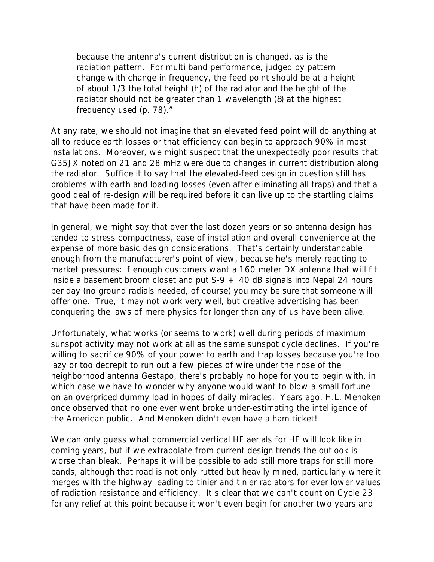because the antenna's current distribution is changed, as is the radiation pattern. For multi band performance, judged by pattern change with change in frequency, the feed point should be at a height of about 1/3 the total height (h) of the radiator and the height of the radiator should not be greater than 1 wavelength (8) at the highest frequency used (p. 78)."

At any rate, we should not imagine that an elevated feed point will do anything at all to reduce earth losses or that efficiency can begin to approach 90% in most installations. Moreover, we might suspect that the unexpectedly poor results that G35JX noted on 21 and 28 mHz were due to changes in current distribution along the radiator. Suffice it to say that the elevated-feed design in question still has problems with earth and loading losses (even after eliminating all traps) and that a good deal of re-design will be required before it can live up to the startling claims that have been made for it.

In general, we might say that over the last dozen years or so antenna design has tended to stress compactness, ease of installation and overall convenience at the expense of more basic design considerations. That's certainly understandable enough from the manufacturer's point of view, because he's merely reacting to market pressures: if enough customers want a 160 meter DX antenna that will fit inside a basement broom closet and put  $S-9 + 40$  dB signals into Nepal 24 hours per day (no ground radials needed, of course) you may be sure that someone will offer one. True, it may not work very well, but creative advertising has been conquering the laws of mere physics for longer than any of us have been alive.

Unfortunately, what works (or seems to work) well during periods of maximum sunspot activity may not work at all as the same sunspot cycle declines. If you're willing to sacrifice 90% of your power to earth and trap losses because you're too lazy or too decrepit to run out a few pieces of wire under the nose of the neighborhood antenna Gestapo, there's probably no hope for you to begin with, in which case we have to wonder why anyone would want to blow a small fortune on an overpriced dummy load in hopes of daily miracles. Years ago, H.L. Menoken once observed that no one ever went broke under-estimating the intelligence of the American public. And Menoken didn't even have a ham ticket!

We can only guess what commercial vertical HF aerials for HF will look like in coming years, but if we extrapolate from current design trends the outlook is worse than bleak. Perhaps it will be possible to add still more traps for still more bands, although that road is not only rutted but heavily mined, particularly where it merges with the highway leading to tinier and tinier radiators for ever lower values of radiation resistance and efficiency. It's clear that we can't count on Cycle 23 for any relief at this point because it won't even begin for another two years and